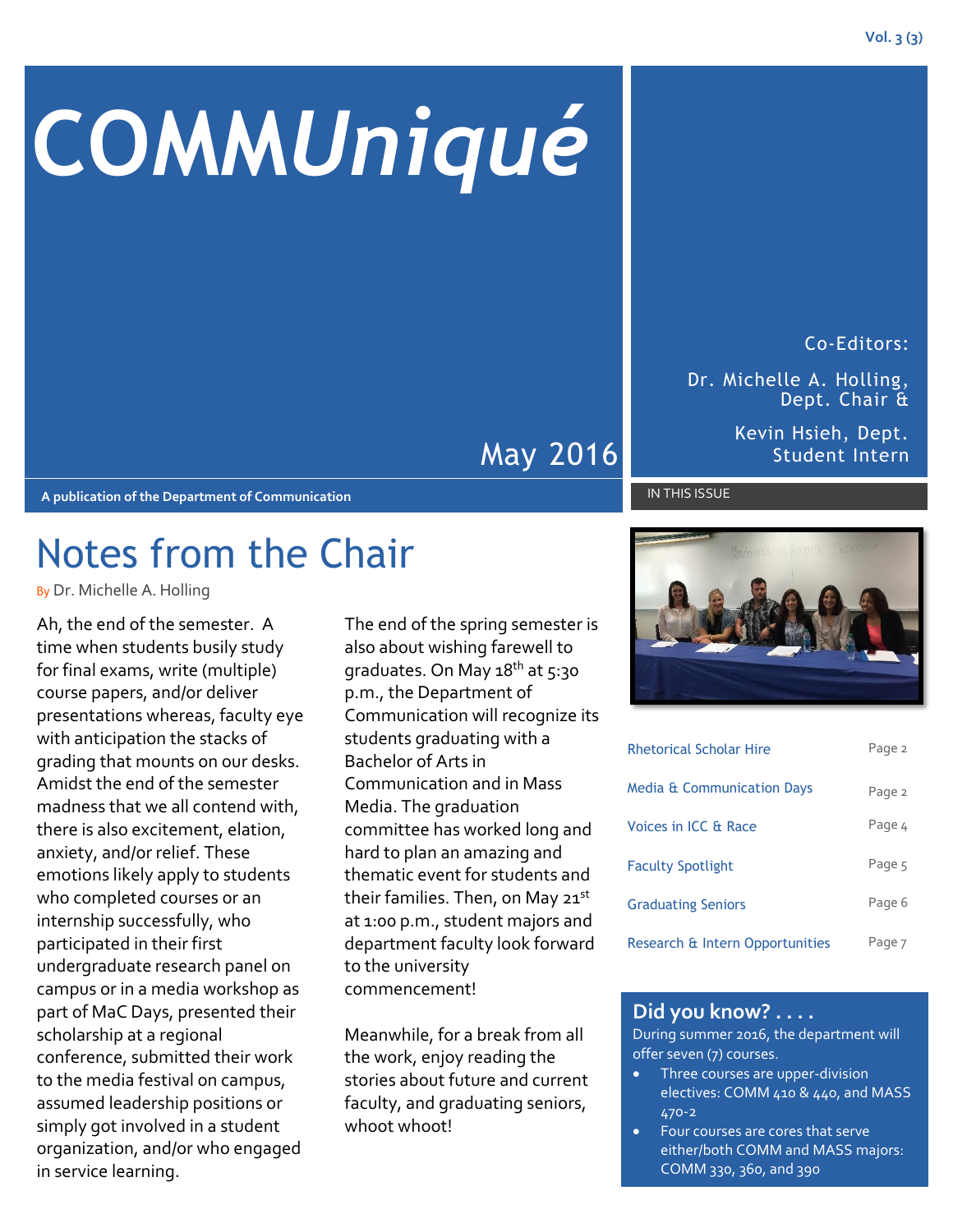# **COMM***Uniqué*

May 2016

**A publication of the Department of Communication**

## Notes from the Chair

By Dr. Michelle A. Holling

Ah, the end of the semester. A time when students busily study for final exams, write (multiple) course papers, and/or deliver presentations whereas, faculty eye with anticipation the stacks of grading that mounts on our desks. Amidst the end of the semester madness that we all contend with, there is also excitement, elation, anxiety, and/or relief. These emotions likely apply to students who completed courses or an internship successfully, who participated in their first undergraduate research panel on campus or in a media workshop as part of MaC Days, presented their scholarship at a regional conference, submitted their work to the media festival on campus, assumed leadership positions or simply got involved in a student organization, and/or who engaged in service learning.

The end of the spring semester is also about wishing farewell to graduates. On May 18<sup>th</sup> at 5:30 p.m., the Department of Communication will recognize its students graduating with a Bachelor of Arts in Communication and in Mass Media. The graduation committee has worked long and hard to plan an amazing and thematic event for students and their families. Then, on May 21<sup>st</sup> at 1:00 p.m., student majors and department faculty look forward to the university commencement!

Meanwhile, for a break from all the work, enjoy reading the stories about future and current faculty, and graduating seniors, whoot whoot!

| <b>Rhetorical Scholar Hire</b>        | Page 2 |
|---------------------------------------|--------|
| <b>Media &amp; Communication Days</b> | Page 2 |
| Voices in ICC & Race                  | Page 4 |
| <b>Faculty Spotlight</b>              | Page 5 |
| <b>Graduating Seniors</b>             | Page 6 |
| Research & Intern Opportunities       | Page 7 |

#### **Did you know? . . . .**

During summer 2016, the department will offer seven (7) courses.

- Three courses are upper-division electives: COMM 410 & 440, and MASS 470-2
- Four courses are cores that serve either/both COMM and MASS majors: COMM 330, 360, and 390

Dr. Michelle A. Holling, Dept. Chair &

> Kevin Hsieh, Dept. Student Intern

#### IN THIS ISSUE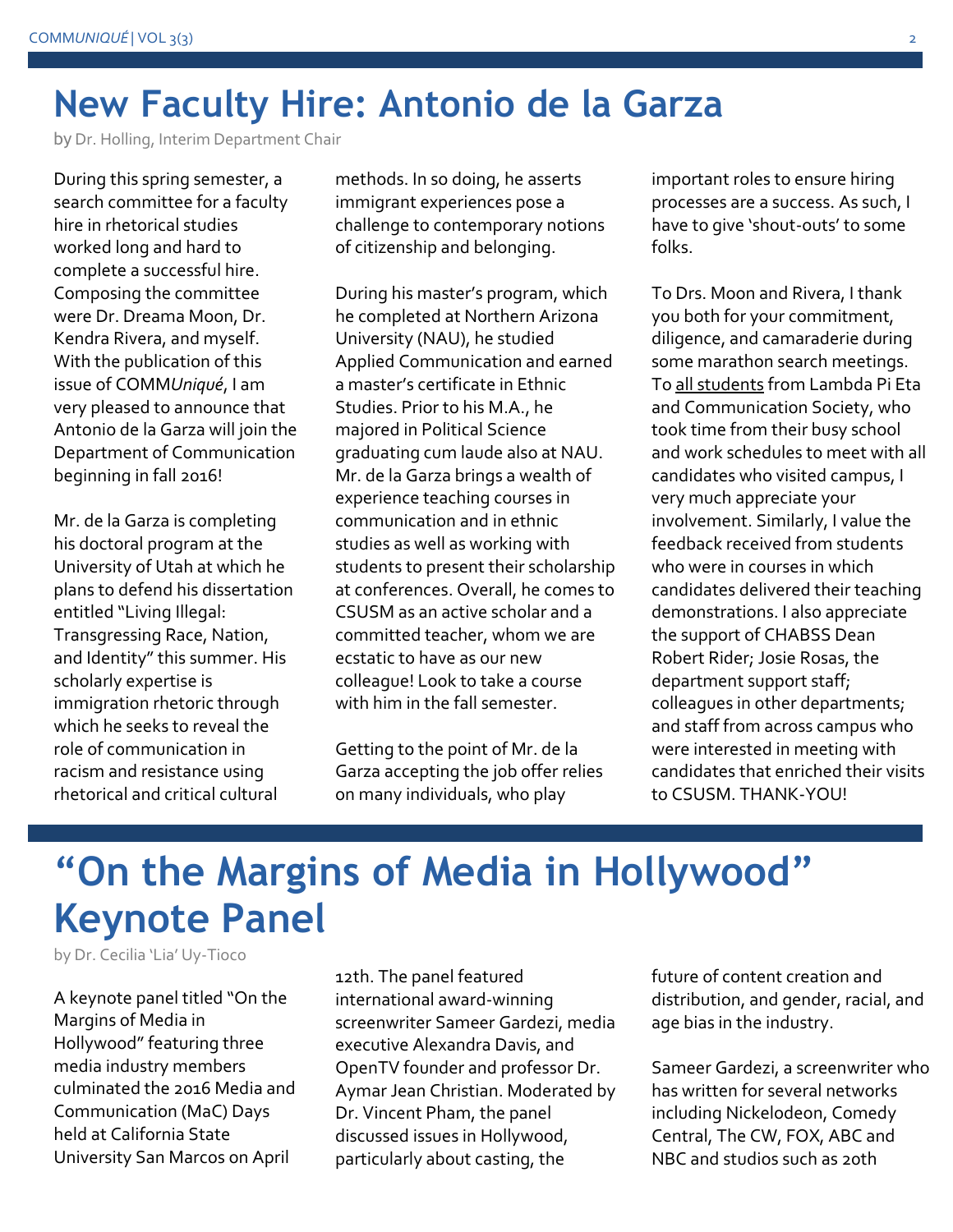## **New Faculty Hire: Antonio de la Garza**

by Dr. Holling, Interim Department Chair

During this spring semester, a search committee for a faculty hire in rhetorical studies worked long and hard to complete a successful hire. Composing the committee were Dr. Dreama Moon, Dr. Kendra Rivera, and myself. With the publication of this issue of COMM*Uniqué*, I am very pleased to announce that Antonio de la Garza will join the Department of Communication beginning in fall 2016!

Mr. de la Garza is completing his doctoral program at the University of Utah at which he plans to defend his dissertation entitled "Living Illegal: Transgressing Race, Nation, and Identity" this summer. His scholarly expertise is immigration rhetoric through which he seeks to reveal the role of communication in racism and resistance using rhetorical and critical cultural

methods. In so doing, he asserts immigrant experiences pose a challenge to contemporary notions of citizenship and belonging.

During his master's program, which he completed at Northern Arizona University (NAU), he studied Applied Communication and earned a master's certificate in Ethnic Studies. Prior to his M.A., he majored in Political Science graduating cum laude also at NAU. Mr. de la Garza brings a wealth of experience teaching courses in communication and in ethnic studies as well as working with students to present their scholarship at conferences. Overall, he comes to CSUSM as an active scholar and a committed teacher, whom we are ecstatic to have as our new colleague! Look to take a course with him in the fall semester.

Getting to the point of Mr. de la Garza accepting the job offer relies on many individuals, who play

important roles to ensure hiring processes are a success. As such, I have to give 'shout-outs' to some folks.

To Drs. Moon and Rivera, I thank you both for your commitment, diligence, and camaraderie during some marathon search meetings. To all students from Lambda Pi Eta and Communication Society, who took time from their busy school and work schedules to meet with all candidates who visited campus, I very much appreciate your involvement. Similarly, I value the feedback received from students who were in courses in which candidates delivered their teaching demonstrations. I also appreciate the support of CHABSS Dean Robert Rider; Josie Rosas, the department support staff; colleagues in other departments; and staff from across campus who were interested in meeting with candidates that enriched their visits to CSUSM. THANK-YOU!

## **"On the Margins of Media in Hollywood" Keynote Panel**

by Dr. Cecilia 'Lia' Uy-Tioco

A keynote panel titled "On the Margins of Media in Hollywood" featuring three media industry members culminated the 2016 Media and Communication (MaC) Days held at California State University San Marcos on April

12th. The panel featured international award-winning screenwriter Sameer Gardezi, media executive Alexandra Davis, and OpenTV founder and professor Dr. Aymar Jean Christian. Moderated by Dr. Vincent Pham, the panel discussed issues in Hollywood, particularly about casting, the

future of content creation and distribution, and gender, racial, and age bias in the industry.

Sameer Gardezi, a screenwriter who has written for several networks including Nickelodeon, Comedy Central, The CW, FOX, ABC and NBC and studios such as 20th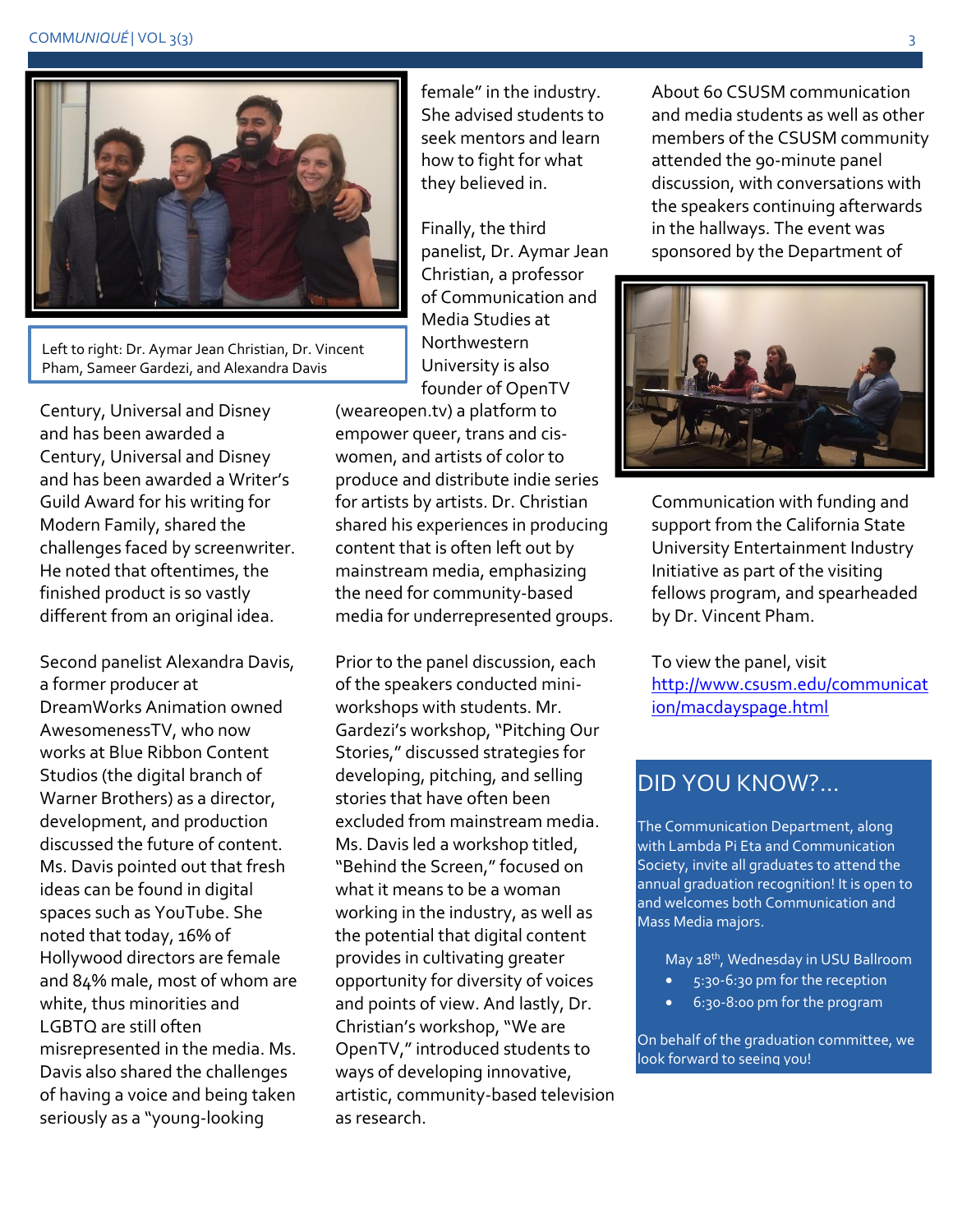#### COMMUNIQUÉ | VOL 3(3)



Left to right: Dr. Aymar Jean Christian, Dr. Vincent Pham, Sameer Gardezi, and Alexandra Davis

Century, Universal and Disney and has been awarded a Century, Universal and Disney and has been awarded a Writer's Guild Award for his writing for Modern Family, shared the challenges faced by screenwriter. He noted that oftentimes, the finished product is so vastly different from an original idea.

Second panelist Alexandra Davis, a former producer at DreamWorks Animation owned AwesomenessTV, who now works at Blue Ribbon Content Studios (the digital branch of Warner Brothers) as a director, development, and production discussed the future of content. Ms. Davis pointed out that fresh ideas can be found in digital spaces such as YouTube. She noted that today, 16% of Hollywood directors are female and 84% male, most of whom are white, thus minorities and LGBTQ are still often misrepresented in the media. Ms. Davis also shared the challenges of having a voice and being taken seriously as a "young-looking

female" in the industry. She advised students to seek mentors and learn how to fight for what they believed in.

Finally, the third panelist, Dr. Aymar Jean Christian, a professor of Communication and Media Studies at Northwestern University is also founder of OpenTV

(weareopen.tv) a platform to empower queer, trans and ciswomen, and artists of color to produce and distribute indie series for artists by artists. Dr. Christian shared his experiences in producing content that is often left out by mainstream media, emphasizing the need for community-based media for underrepresented groups.

Prior to the panel discussion, each of the speakers conducted miniworkshops with students. Mr. Gardezi's workshop, "Pitching Our Stories," discussed strategies for developing, pitching, and selling stories that have often been excluded from mainstream media. Ms. Davis led a workshop titled, "Behind the Screen," focused on what it means to be a woman working in the industry, as well as the potential that digital content provides in cultivating greater opportunity for diversity of voices and points of view. And lastly, Dr. Christian's workshop, "We are OpenTV," introduced students to ways of developing innovative, artistic, community-based television as research.

About 60 CSUSM communication and media students as well as other members of the CSUSM community attended the 90-minute panel discussion, with conversations with the speakers continuing afterwards in the hallways. The event was sponsored by the Department of



Communication with funding and support from the California State University Entertainment Industry Initiative as part of the visiting fellows program, and spearheaded by Dr. Vincent Pham.

To view the panel, visit [http://www.csusm.edu/communicat](http://www.csusm.edu/communication/macdayspage.html) [ion/macdayspage.html](http://www.csusm.edu/communication/macdayspage.html)

### DID YOU KNOW?…

The Communication Department, along with Lambda Pi Eta and Communication Society, invite all graduates to attend the annual graduation recognition! It is open to and welcomes both Communication and Mass Media majors.

May 18th, Wednesday in USU Ballroom

- 5:30-6:30 pm for the reception
- 6:30-8:00 pm for the program

On behalf of the graduation committee, we look forward to seeing you!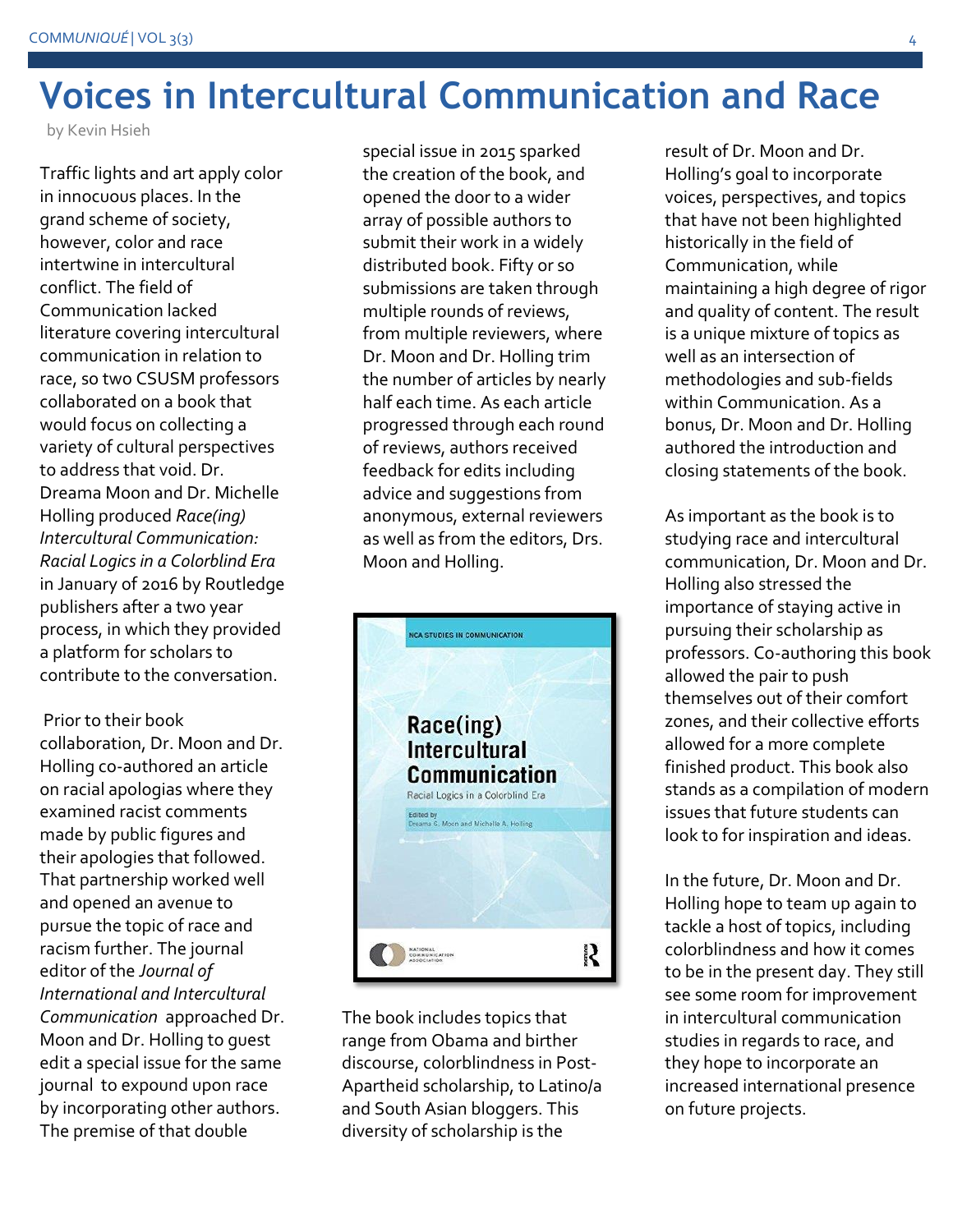## **Voices in Intercultural Communication and Race**

by Kevin Hsieh

Traffic lights and art apply color in innocuous places. In the grand scheme of society, however, color and race intertwine in intercultural conflict. The field of Communication lacked literature covering intercultural communication in relation to race, so two CSUSM professors collaborated on a book that would focus on collecting a variety of cultural perspectives to address that void. Dr. Dreama Moon and Dr. Michelle Holling produced *Race(ing) Intercultural Communication: Racial Logics in a Colorblind Era* in January of 2016 by Routledge publishers after a two year process, in which they provided a platform for scholars to contribute to the conversation.

Prior to their book collaboration, Dr. Moon and Dr. Holling co-authored an article on racial apologias where they examined racist comments made by public figures and their apologies that followed. That partnership worked well and opened an avenue to pursue the topic of race and racism further. The journal editor of the *Journal of International and Intercultural Communication* approached Dr. Moon and Dr. Holling to guest edit a special issue for the same journal to expound upon race by incorporating other authors. The premise of that double

special issue in 2015 sparked the creation of the book, and opened the door to a wider array of possible authors to submit their work in a widely distributed book. Fifty or so submissions are taken through multiple rounds of reviews, from multiple reviewers, where Dr. Moon and Dr. Holling trim the number of articles by nearly half each time. As each article progressed through each round of reviews, authors received feedback for edits including advice and suggestions from anonymous, external reviewers as well as from the editors, Drs. Moon and Holling.



The book includes topics that range from Obama and birther discourse, colorblindness in Post-Apartheid scholarship, to Latino/a and South Asian bloggers. This diversity of scholarship is the

result of Dr. Moon and Dr. Holling's goal to incorporate voices, perspectives, and topics that have not been highlighted historically in the field of Communication, while maintaining a high degree of rigor and quality of content. The result is a unique mixture of topics as well as an intersection of methodologies and sub-fields within Communication. As a bonus, Dr. Moon and Dr. Holling authored the introduction and closing statements of the book.

As important as the book is to studying race and intercultural communication, Dr. Moon and Dr. Holling also stressed the importance of staying active in pursuing their scholarship as professors. Co-authoring this book allowed the pair to push themselves out of their comfort zones, and their collective efforts allowed for a more complete finished product. This book also stands as a compilation of modern issues that future students can look to for inspiration and ideas.

In the future, Dr. Moon and Dr. Holling hope to team up again to tackle a host of topics, including colorblindness and how it comes to be in the present day. They still see some room for improvement in intercultural communication studies in regards to race, and they hope to incorporate an increased international presence on future projects.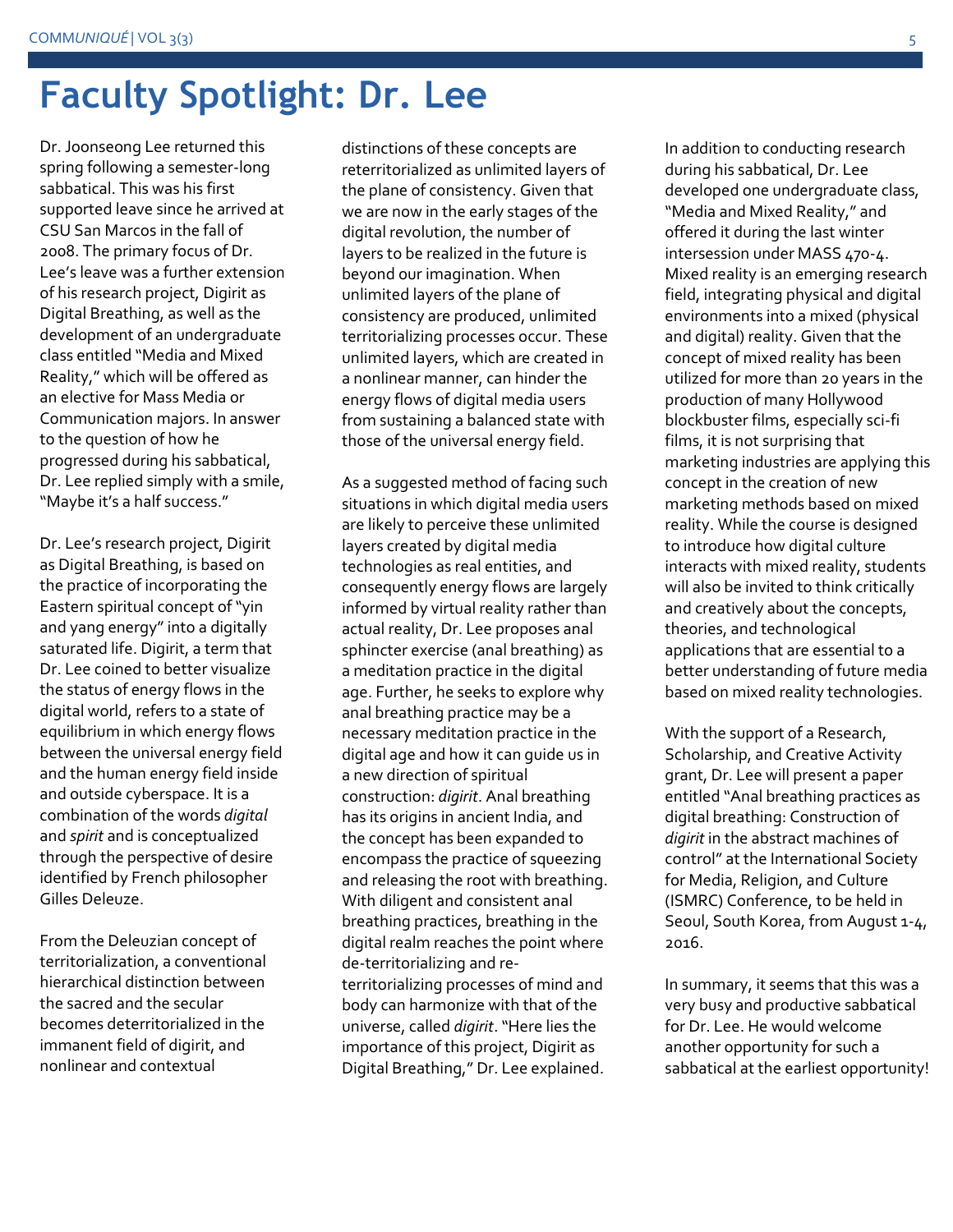## **Faculty Spotlight: Dr. Lee**

Dr. Joonseong Lee returned this spring following a semester-long sabbatical. This was his first supported leave since he arrived at CSU San Marcos in the fall of 2008. The primary focus of Dr. Lee's leave was a further extension of his research project, Digirit as Digital Breathing, as well as the development of an undergraduate class entitled "Media and Mixed Reality," which will be offered as an elective for Mass Media or Communication majors. In answer to the question of how he progressed during his sabbatical, Dr. Lee replied simply with a smile, "Maybe it's a half success."

Dr. Lee's research project, Digirit as Digital Breathing, is based on the practice of incorporating the Eastern spiritual concept of "yin and yang energy" into a digitally saturated life. Digirit, a term that Dr. Lee coined to better visualize the status of energy flows in the digital world, refers to a state of equilibrium in which energy flows between the universal energy field and the human energy field inside and outside cyberspace. It is a combination of the words *digital* and *spirit* and is conceptualized through the perspective of desire identified by French philosopher Gilles Deleuze.

From the Deleuzian concept of territorialization, a conventional hierarchical distinction between the sacred and the secular becomes deterritorialized in the immanent field of digirit, and nonlinear and contextual

distinctions of these concepts are reterritorialized as unlimited layers of the plane of consistency. Given that we are now in the early stages of the digital revolution, the number of layers to be realized in the future is beyond our imagination. When unlimited layers of the plane of consistency are produced, unlimited territorializing processes occur. These unlimited layers, which are created in a nonlinear manner, can hinder the energy flows of digital media users from sustaining a balanced state with those of the universal energy field.

As a suggested method of facing such situations in which digital media users are likely to perceive these unlimited layers created by digital media technologies as real entities, and consequently energy flows are largely informed by virtual reality rather than actual reality, Dr. Lee proposes anal sphincter exercise (anal breathing) as a meditation practice in the digital age. Further, he seeks to explore why anal breathing practice may be a necessary meditation practice in the digital age and how it can guide us in a new direction of spiritual construction: *digirit*. Anal breathing has its origins in ancient India, and the concept has been expanded to encompass the practice of squeezing and releasing the root with breathing. With diligent and consistent anal breathing practices, breathing in the digital realm reaches the point where de-territorializing and reterritorializing processes of mind and body can harmonize with that of the universe, called *digirit*."Here lies the importance of this project, Digirit as Digital Breathing," Dr. Lee explained.

In addition to conducting research during his sabbatical, Dr. Lee developed one undergraduate class, "Media and Mixed Reality," and offered it during the last winter intersession under MASS 470-4. Mixed reality is an emerging research field, integrating physical and digital environments into a mixed (physical and digital) reality. Given that the concept of mixed reality has been utilized for more than 20 years in the production of many Hollywood blockbuster films, especially sci-fi films, it is not surprising that marketing industries are applying this concept in the creation of new marketing methods based on mixed reality. While the course is designed to introduce how digital culture interacts with mixed reality, students will also be invited to think critically and creatively about the concepts, theories, and technological applications that are essential to a better understanding of future media based on mixed reality technologies.

With the support of a Research, Scholarship, and Creative Activity grant, Dr. Lee will present a paper entitled "Anal breathing practices as digital breathing: Construction of *digirit* in the abstract machines of control" at the International Society for Media, Religion, and Culture (ISMRC) Conference, to be held in Seoul, South Korea, from August 1-4, 2016.

In summary, it seems that this was a very busy and productive sabbatical for Dr. Lee. He would welcome another opportunity for such a sabbatical at the earliest opportunity!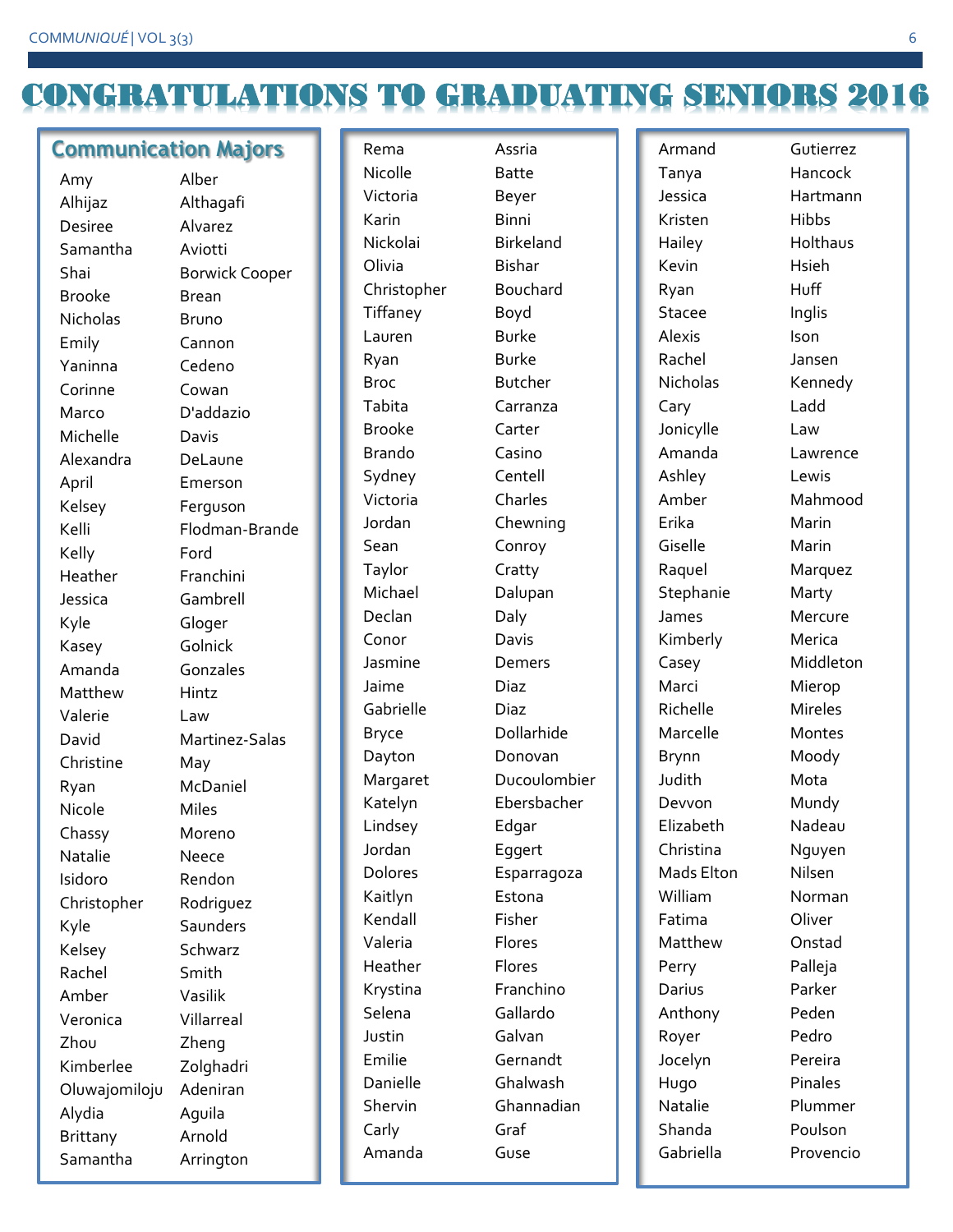## CONGRATULATIONS TO GRADUATING SENIORS 2016

#### **Communication Majors**

| Amy             | Alber                 |
|-----------------|-----------------------|
| Alhijaz         | Althagafi             |
| <b>Desiree</b>  | Alvarez               |
| Samantha        | Aviotti               |
| Shai            | <b>Borwick Cooper</b> |
| Brooke          | <b>Brean</b>          |
| <b>Nicholas</b> | Bruno                 |
| Emily           | Cannon                |
| Yaninna         | Cedeno                |
| Corinne         | Cowan                 |
| Marco           | D'addazio             |
| Michelle        | Davis                 |
| Alexandra       | DeLaune               |
| April           | Emerson               |
| Kelsey          | Ferguson              |
| Kelli           | Flodman-Brande        |
| Kelly           | Ford                  |
| Heather         | Franchini             |
| Jessica         | Gambrell              |
| Kyle            | Gloger                |
| Kasey           | Golnick               |
| Amanda          | Gonzales              |
| Matthew         | Hintz                 |
| Valerie         | Law                   |
| David           | Martinez-Salas        |
| Christine       | May                   |
| Ryan            | McDaniel              |
| Nicole          | <b>Miles</b>          |
| Chassy          | Moreno                |
| Natalie         | Neece                 |
| Isidoro         | Rendon                |
| Christopher     | Rodriguez             |
| Kyle            | Saunders              |
| Kelsey          | Schwarz               |
| Rachel          | Smith                 |
| Amber           | Vasilik               |
| Veronica        | Villarreal            |
| Zhou            | Zheng                 |
| Kimberlee       | Zolghadri             |
| Oluwajomiloju   | Adeniran              |
| Alydia          | Aquila                |
| <b>Brittany</b> | Arnold                |
| Samantha        | Arrington             |

Rema Assria Nicolle Batte Victoria Beyer Karin Binni Nickolai Birkeland Olivia Bishar Christopher Bouchard Tiffaney Boyd Lauren Burke Ryan Burke Broc Butcher Tabita Carranza Brooke Carter Brando Casino Sydney Centell Victoria Charles Jordan Chewning Sean Conroy Taylor Cratty Michael Dalupan Declan Daly Conor Davis Jasmine Demers Jaime Diaz Gabrielle Diaz Bryce Dollarhide Dayton Donovan Lindsey Edgar Jordan Eggert Kaitlyn Estona Kendall Fisher Valeria Flores Heather Flores Krystina Franchino Selena Gallardo Justin Galvan Emilie Gernandt Danielle Ghalwash Carly Graf Amanda Guse

Margaret Ducoulombier Katelyn Ebersbacher Dolores Esparragoza Shervin Ghannadian

Armand Gutierrez Tanya Hancock Jessica Hartmann Kristen Hibbs Hailey Holthaus Kevin Hsieh Ryan Huff Stacee Inglis Alexis Ison Rachel Jansen Nicholas Kennedy Cary Ladd Jonicylle Law Amanda Lawrence Ashley Lewis Amber Mahmood Erika Marin Giselle Marin Raquel Marquez Stephanie Marty James Mercure Kimberly Merica Casey Middleton Marci Mierop Richelle Mireles Marcelle Montes Brynn Moody Judith Mota Devvon Mundy Elizabeth Nadeau Christina Nguyen Mads Elton Nilsen William Norman Fatima Oliver Matthew Onstad Perry Palleja Darius Parker Anthony Peden Royer Pedro Jocelyn Pereira Hugo Pinales Natalie Plummer Shanda Poulson Gabriella Provencio